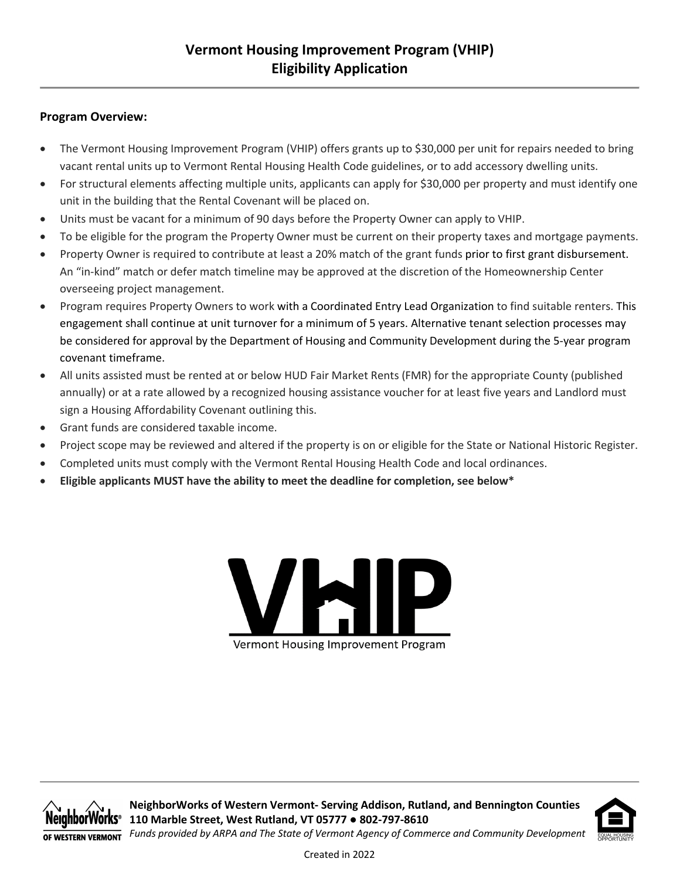### **Program Overview:**

- The Vermont Housing Improvement Program (VHIP) offers grants up to \$30,000 per unit for repairs needed to bring vacant rental units up to Vermont Rental Housing Health Code guidelines, or to add accessory dwelling units.
- For structural elements affecting multiple units, applicants can apply for \$30,000 per property and must identify one unit in the building that the Rental Covenant will be placed on.
- Units must be vacant for a minimum of 90 days before the Property Owner can apply to VHIP.
- To be eligible for the program the Property Owner must be current on their property taxes and mortgage payments.
- Property Owner is required to contribute at least a 20% match of the grant funds prior to first grant disbursement. An "in-kind" match or defer match timeline may be approved at the discretion of the Homeownership Center overseeing project management.
- Program requires Property Owners to work with a Coordinated Entry Lead Organization to find suitable renters. This engagement shall continue at unit turnover for a minimum of 5 years. Alternative tenant selection processes may be considered for approval by the Department of Housing and Community Development during the 5-year program covenant timeframe.
- All units assisted must be rented at or below HUD Fair Market Rents (FMR) for the appropriate County (published annually) or at a rate allowed by a recognized housing assistance voucher for at least five years and Landlord must sign a Housing Affordability Covenant outlining this.
- Grant funds are considered taxable income.
- Project scope may be reviewed and altered if the property is on or eligible for the State or National Historic Register.
- Completed units must comply with the Vermont Rental Housing Health Code and local ordinances.
- **Eligible applicants MUST have the ability to meet the deadline for completion, see below\***





**NeighborWorks of Western Vermont- Serving Addison, Rutland, and Bennington Counties 110 Marble Street, West Rutland, VT 05777 ● 802-797-8610** *Funds provided by ARPA and The State of Vermont Agency of Commerce and Community Development*



Created in 2022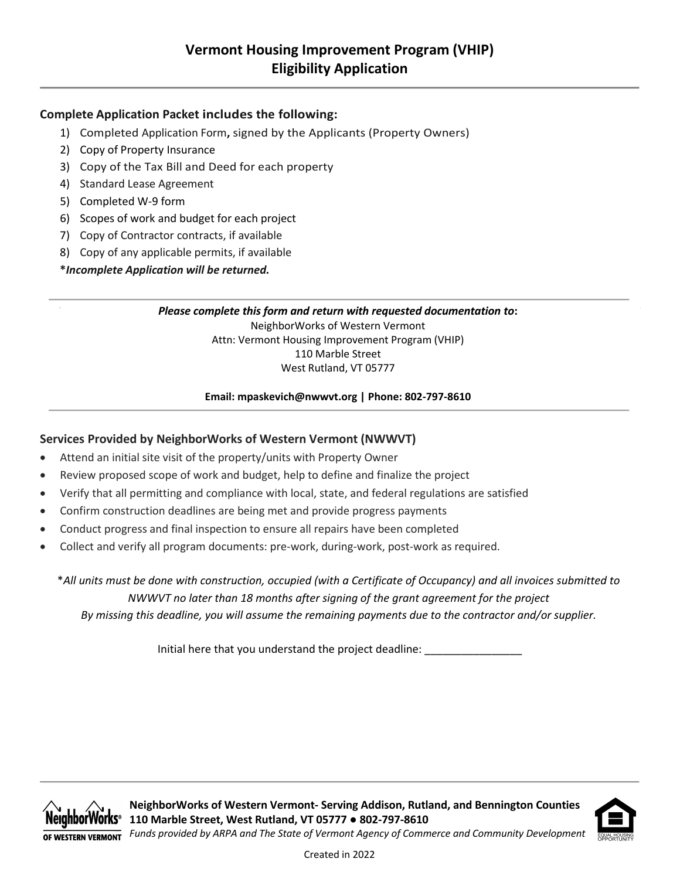## **Complete Application Packet includes the following:**

- 1) Completed Application Form**,** signed by the Applicants (Property Owners)
- 2) Copy of Property Insurance
- 3) Copy of the Tax Bill and Deed for each property
- 4) Standard Lease Agreement
- 5) Completed W-9 form
- 6) Scopes of work and budget for each project
- 7) Copy of Contractor contracts, if available
- 8) Copy of any applicable permits, if available

**\****Incomplete Application will be returned.*

*Please complete this form and return with requested documentation to***:** NeighborWorks of Western Vermont Attn: Vermont Housing Improvement Program (VHIP) 110 Marble Street West Rutland, VT 05777

**Email: mpaskevich@nwwvt.org | Phone: 802-797-8610**

## **Services Provided by NeighborWorks of Western Vermont (NWWVT)**

- Attend an initial site visit of the property/units with Property Owner
- Review proposed scope of work and budget, help to define and finalize the project
- Verify that all permitting and compliance with local, state, and federal regulations are satisfied
- Confirm construction deadlines are being met and provide progress payments
- Conduct progress and final inspection to ensure all repairs have been completed
- Collect and verify all program documents: pre-work, during-work, post-work as required.

\**All units must be done with construction, occupied (with a Certificate of Occupancy) and all invoices submitted to NWWVT no later than 18 months after signing of the grant agreement for the project By missing this deadline, you will assume the remaining payments due to the contractor and/or supplier.* 

Initial here that you understand the project deadline:





Created in 2022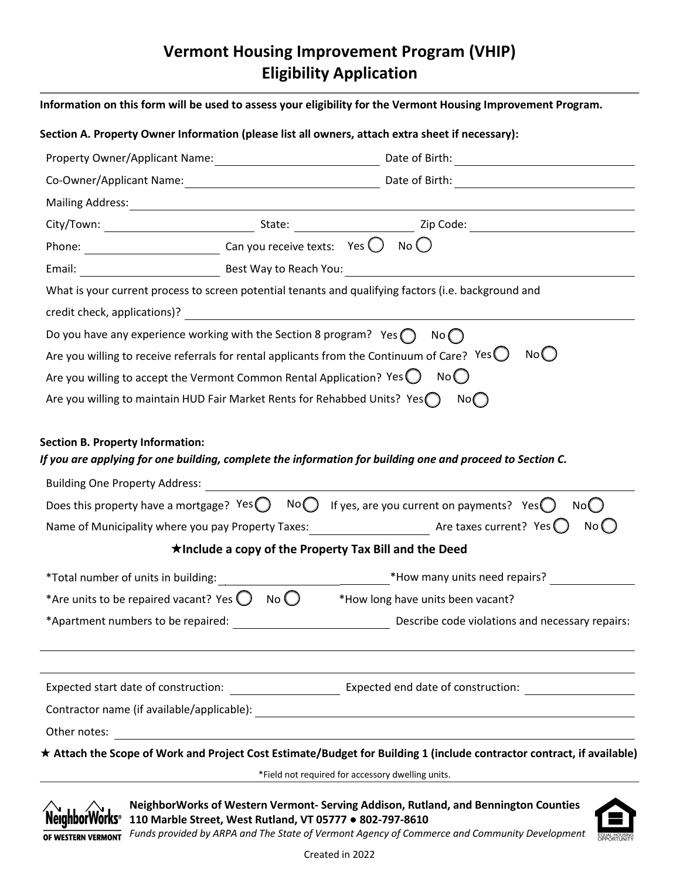# **Vermont Housing Improvement Program (VHIP) Eligibility Application**

|                                                                                                                                                                                                                                                                                                                    |  | Property Owner/Applicant Name: 1990 1991 1992 Date of Birth: 2008 2014 1997 2014 1998 2014 1998 2014 2020 2021        |  |  |  |  |                                                                                                                                    |
|--------------------------------------------------------------------------------------------------------------------------------------------------------------------------------------------------------------------------------------------------------------------------------------------------------------------|--|-----------------------------------------------------------------------------------------------------------------------|--|--|--|--|------------------------------------------------------------------------------------------------------------------------------------|
|                                                                                                                                                                                                                                                                                                                    |  |                                                                                                                       |  |  |  |  |                                                                                                                                    |
|                                                                                                                                                                                                                                                                                                                    |  |                                                                                                                       |  |  |  |  |                                                                                                                                    |
|                                                                                                                                                                                                                                                                                                                    |  |                                                                                                                       |  |  |  |  |                                                                                                                                    |
| Phone: $\sqrt{\frac{1}{2}$ Can you receive texts: Yes $\bigcirc$ No $\bigcirc$                                                                                                                                                                                                                                     |  |                                                                                                                       |  |  |  |  |                                                                                                                                    |
|                                                                                                                                                                                                                                                                                                                    |  |                                                                                                                       |  |  |  |  |                                                                                                                                    |
|                                                                                                                                                                                                                                                                                                                    |  | What is your current process to screen potential tenants and qualifying factors (i.e. background and                  |  |  |  |  |                                                                                                                                    |
|                                                                                                                                                                                                                                                                                                                    |  |                                                                                                                       |  |  |  |  |                                                                                                                                    |
|                                                                                                                                                                                                                                                                                                                    |  | Do you have any experience working with the Section 8 program? Yes $\bigcap$ No $\bigcap$                             |  |  |  |  |                                                                                                                                    |
| No()<br>Are you willing to receive referrals for rental applicants from the Continuum of Care? Yes $\bigcirc$<br>Are you willing to accept the Vermont Common Rental Application? Yes $\bigcirc$ No $\bigcirc$<br>Are you willing to maintain HUD Fair Market Rents for Rehabbed Units? Yes $\bigcap$ No $\bigcap$ |  |                                                                                                                       |  |  |  |  |                                                                                                                                    |
|                                                                                                                                                                                                                                                                                                                    |  |                                                                                                                       |  |  |  |  | If you are applying for one building, complete the information for building one and proceed to Section C.                          |
|                                                                                                                                                                                                                                                                                                                    |  |                                                                                                                       |  |  |  |  | Does this property have a mortgage? Yes $\bigcirc$ No $\bigcirc$ If yes, are you current on payments? Yes $\bigcirc$ No $\bigcirc$ |
|                                                                                                                                                                                                                                                                                                                    |  | Name of Municipality where you pay Property Taxes: $\frac{1}{2}$ Are taxes current? Yes $\bigcirc$<br>No              |  |  |  |  |                                                                                                                                    |
|                                                                                                                                                                                                                                                                                                                    |  | $\star$ Include a copy of the Property Tax Bill and the Deed                                                          |  |  |  |  |                                                                                                                                    |
|                                                                                                                                                                                                                                                                                                                    |  |                                                                                                                       |  |  |  |  |                                                                                                                                    |
|                                                                                                                                                                                                                                                                                                                    |  | *Are units to be repaired vacant? Yes $\bigcirc$ No $\bigcirc$ *How long have units been vacant?                      |  |  |  |  |                                                                                                                                    |
|                                                                                                                                                                                                                                                                                                                    |  |                                                                                                                       |  |  |  |  |                                                                                                                                    |
|                                                                                                                                                                                                                                                                                                                    |  |                                                                                                                       |  |  |  |  |                                                                                                                                    |
|                                                                                                                                                                                                                                                                                                                    |  |                                                                                                                       |  |  |  |  |                                                                                                                                    |
| <b>Section B. Property Information:</b><br>Other notes:                                                                                                                                                                                                                                                            |  | <u> 1989 - Jan Sterling von Berling von Berling von Berling von Berling von Berling von Berling von Berling von B</u> |  |  |  |  |                                                                                                                                    |

\*Field not required for accessory dwelling units.



**NeighborWorks of Western Vermont- Serving Addison, Rutland, and Bennington Counties 110 Marble Street, West Rutland, VT 05777 ● 802-797-8610**



**FIGURE 7 FULLER FUNDS AND ARPA AND THE STATE of Vermont Agency of Commerce and Community Development**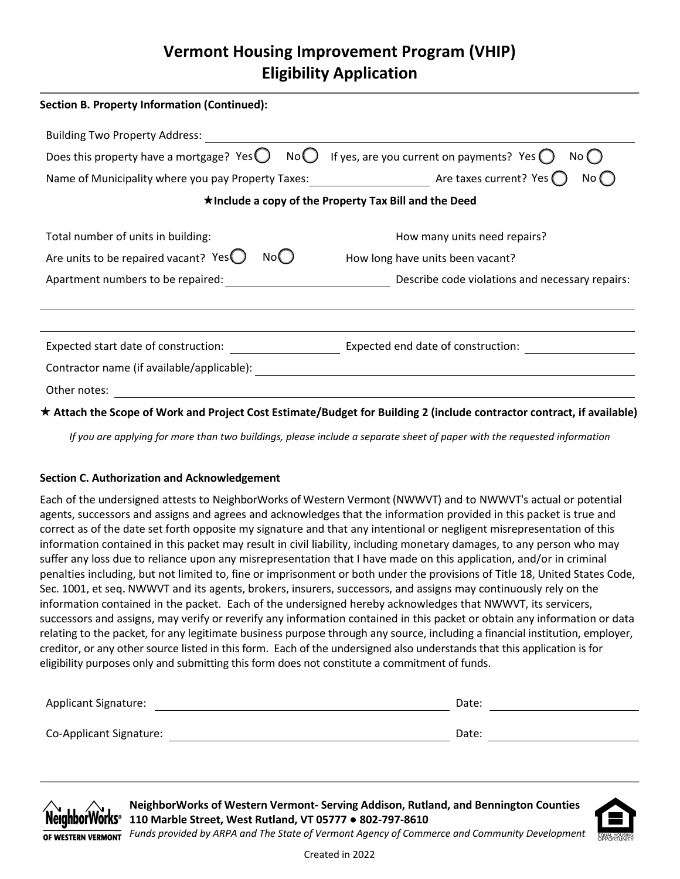# **Vermont Housing Improvement Program (VHIP) Eligibility Application**

| <b>Section B. Property Information (Continued):</b> |                                                                                                                      |  |
|-----------------------------------------------------|----------------------------------------------------------------------------------------------------------------------|--|
| <b>Building Two Property Address:</b>               |                                                                                                                      |  |
| Does this property have a mortgage? Yes $\bigcup$   | If yes, are you current on payments? Yes $\bigcirc$<br>No $\bigcup$<br>No (                                          |  |
| Name of Municipality where you pay Property Taxes:  | Are taxes current? Yes (<br>No (                                                                                     |  |
|                                                     | $\star$ Include a copy of the Property Tax Bill and the Deed                                                         |  |
| Total number of units in building:                  | How many units need repairs?                                                                                         |  |
| Are units to be repaired vacant? Yes<br>Nol J       | How long have units been vacant?                                                                                     |  |
| Apartment numbers to be repaired:                   | Describe code violations and necessary repairs:                                                                      |  |
|                                                     |                                                                                                                      |  |
| Expected start date of construction:                | Expected end date of construction:                                                                                   |  |
| Contractor name (if available/applicable):          |                                                                                                                      |  |
| Other notes:                                        |                                                                                                                      |  |
|                                                     | بامائهييم كزر باسميرا ومستحصر والمسامع والرباشي والمستلوكات والمتحاسب والمستلفظ الممرا والمساري والمسترادات والمراوز |  |

**Attach the Scope of Work and Project Cost Estimate/Budget for Building 2 (include contractor contract, if available)**

*If you are applying for more than two buildings, please include a separate sheet of paper with the requested information*

### **Section C. Authorization and Acknowledgement**

Each of the undersigned attests to NeighborWorks of Western Vermont (NWWVT) and to NWWVT's actual or potential agents, successors and assigns and agrees and acknowledges that the information provided in this packet is true and correct as of the date set forth opposite my signature and that any intentional or negligent misrepresentation of this information contained in this packet may result in civil liability, including monetary damages, to any person who may suffer any loss due to reliance upon any misrepresentation that I have made on this application, and/or in criminal penalties including, but not limited to, fine or imprisonment or both under the provisions of Title 18, United States Code, Sec. 1001, et seq.NWWVT and its agents, brokers, insurers, successors, and assigns may continuously rely on the information contained in the packet. Each of the undersigned hereby acknowledges that NWWVT, its servicers, successors and assigns, may verify or reverify any information contained in this packet or obtain any information or data relating to the packet, for any legitimate business purpose through any source, including a financial institution, employer, creditor, or any other source listed in this form. Each of the undersigned also understands that this application is for eligibility purposes only and submitting this form does not constitute a commitment of funds.

| <b>Applicant Signature:</b> | Date: |
|-----------------------------|-------|
|                             |       |
| Co-Applicant Signature:     | Date: |



**NeighborWorks of Western Vermont- Serving Addison, Rutland, and Bennington Counties 110 Marble Street, West Rutland, VT 05777 ● 802-797-8610**



*Funds provided by ARPA and The State of Vermont Agency of Commerce and Community Development*